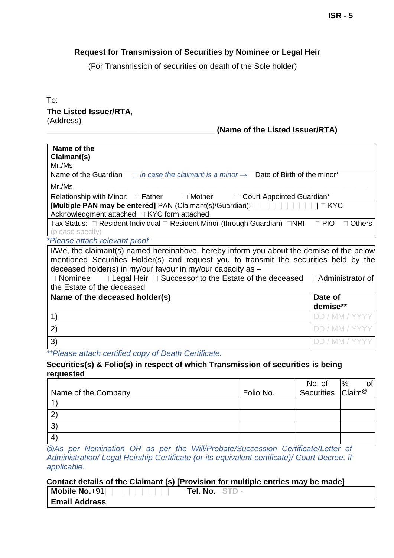# **Request for Transmission of Securities by Nominee or Legal Heir**

(For Transmission of securities on death of the Sole holder)

### To: **The Listed Issuer/RTA,**  (Address)

## **\_\_\_\_\_\_\_\_\_\_\_\_\_\_\_\_\_\_\_\_\_\_\_\_\_\_\_\_\_\_\_\_\_\_\_\_\_\_ (Name of the Listed Issuer/RTA)**

| Name of the                                                                                                                                                                 |                             |
|-----------------------------------------------------------------------------------------------------------------------------------------------------------------------------|-----------------------------|
| Claimant(s)<br>Mr.Ms.                                                                                                                                                       |                             |
| Name of the Guardian $\Box$ in case the claimant is a minor $\rightarrow$ Date of Birth of the minor*                                                                       |                             |
| Mr./Ms.                                                                                                                                                                     |                             |
| Relationship with Minor: $\Box$ Father $\Box$ Mother<br>□ Court Appointed Guardian*                                                                                         |                             |
| Acknowledgment attached □ KYC form attached                                                                                                                                 | $\Box$ KYC                  |
| Tax Status: □ Resident Individual □ Resident Minor (through Guardian) □NRI<br>(please specify)                                                                              | $\Box$ PIO<br><b>Others</b> |
| *Please attach relevant proof                                                                                                                                               |                             |
| I/We, the claimant(s) named hereinabove, hereby inform you about the demise of the below                                                                                    |                             |
| mentioned Securities Holder(s) and request you to transmit the securities held by the                                                                                       |                             |
| deceased holder(s) in my/our favour in my/our capacity as $-$<br>$\Box$ Legal Heir $\Box$ Successor to the Estate of the deceased $\Box$ Administrator of<br>$\Box$ Nominee |                             |
| the Estate of the deceased                                                                                                                                                  |                             |
| Name of the deceased holder(s)                                                                                                                                              | Date of                     |
|                                                                                                                                                                             | demise**                    |
| 1)                                                                                                                                                                          |                             |
| 2)                                                                                                                                                                          |                             |
| 3)                                                                                                                                                                          | DD                          |
| **Please attach certified copy of Death Certificate.                                                                                                                        |                             |

### **Securities(s) & Folio(s) in respect of which Transmission of securities is being requested**

|                     |           | No. of                        | %<br>of |
|---------------------|-----------|-------------------------------|---------|
| Name of the Company | Folio No. | Securities Claim <sup>®</sup> |         |
|                     |           |                               |         |
| $2^{r}$             |           |                               |         |
| 3)                  |           |                               |         |
| $\overline{4}$      |           |                               |         |

*@As per Nomination OR as per the Will/Probate/Succession Certificate/Letter of Administration/ Legal Heirship Certificate (or its equivalent certificate)/ Court Decree, if applicable.* 

#### **Contact details of the Claimant (s) [Provision for multiple entries may be made]**

| Mobile No.+91        | Tel. No. |  |  |
|----------------------|----------|--|--|
| <b>Email Address</b> |          |  |  |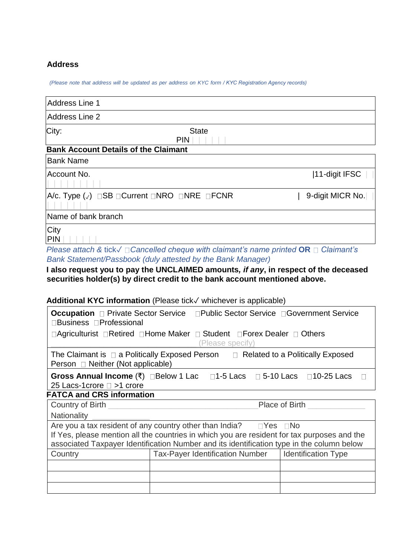# **Address**

*(Please note that address will be updated as per address on KYC form / KYC Registration Agency records)* 

| Address Line 1                                                                      |                            |                  |
|-------------------------------------------------------------------------------------|----------------------------|------------------|
| Address Line 2                                                                      |                            |                  |
| City:                                                                               | <b>State</b><br><b>PIN</b> |                  |
| <b>Bank Account Details of the Claimant</b>                                         |                            |                  |
| <b>Bank Name</b>                                                                    |                            |                  |
| Account No.                                                                         |                            | 11-digit IFSC    |
| $ A/c.$ Type $(\sqrt{})$ $\Box$ SB $\Box$ Current $\Box$ NRO $\Box$ NRE $\Box$ FCNR |                            | 9-digit MICR No. |
| Name of bank branch                                                                 |                            |                  |
| City<br>PIN                                                                         |                            |                  |

*Please attach &* tick✓ *Cancelled cheque with claimant's name printed* **OR** *Claimant's Bank Statement/Passbook (duly attested by the Bank Manager)* 

### **I also request you to pay the UNCLAIMED amounts***, if any***, in respect of the deceased securities holder(s) by direct credit to the bank account mentioned above.**

# **Additional KYC information** (Please tick✓ whichever is applicable)

| □Business □Professional                                                                                                                                                                  | <b>Occupation</b> □ Private Sector Service □ Public Sector Service □ Government Service |                            |  |
|------------------------------------------------------------------------------------------------------------------------------------------------------------------------------------------|-----------------------------------------------------------------------------------------|----------------------------|--|
| □Agriculturist □Retired □Home Maker □ Student □Forex Dealer □ Others<br>(Please specify)                                                                                                 |                                                                                         |                            |  |
| The Claimant is $\Box$ a Politically Exposed Person $\Box$ Related to a Politically Exposed<br>Person □ Neither (Not applicable)                                                         |                                                                                         |                            |  |
| Gross Annual Income $(\bar{x})$ $\Box$ Below 1 Lac $\Box$ 1-5 Lacs $\Box$ 5-10 Lacs $\Box$ 10-25 Lacs<br>25 Lacs-1 crore $\square$ > 1 crore                                             |                                                                                         |                            |  |
| <b>FATCA and CRS information</b>                                                                                                                                                         |                                                                                         |                            |  |
| Country of Birth<br>Place of Birth                                                                                                                                                       |                                                                                         |                            |  |
| <b>Nationality</b>                                                                                                                                                                       |                                                                                         |                            |  |
|                                                                                                                                                                                          | Are you a tax resident of any country other than India? $\square$ Yes $\square$ No      |                            |  |
| If Yes, please mention all the countries in which you are resident for tax purposes and the<br>associated Taxpayer Identification Number and its identification type in the column below |                                                                                         |                            |  |
| Country                                                                                                                                                                                  | <b>Tax-Payer Identification Number</b>                                                  | <b>Identification Type</b> |  |
|                                                                                                                                                                                          |                                                                                         |                            |  |
|                                                                                                                                                                                          |                                                                                         |                            |  |
|                                                                                                                                                                                          |                                                                                         |                            |  |